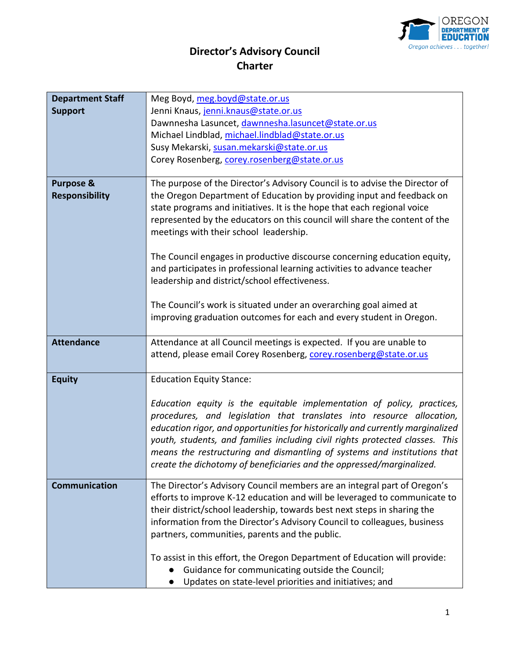

## **Director's Advisory Council Charter**

| <b>Department Staff</b> |                                                                                |
|-------------------------|--------------------------------------------------------------------------------|
|                         | Meg Boyd, meg.boyd@state.or.us                                                 |
| <b>Support</b>          | Jenni Knaus, jenni.knaus@state.or.us                                           |
|                         | Dawnnesha Lasuncet, dawnnesha.lasuncet@state.or.us                             |
|                         | Michael Lindblad, michael.lindblad@state.or.us                                 |
|                         | Susy Mekarski, susan.mekarski@state.or.us                                      |
|                         | Corey Rosenberg, corey.rosenberg@state.or.us                                   |
|                         |                                                                                |
| <b>Purpose &amp;</b>    | The purpose of the Director's Advisory Council is to advise the Director of    |
| <b>Responsibility</b>   | the Oregon Department of Education by providing input and feedback on          |
|                         | state programs and initiatives. It is the hope that each regional voice        |
|                         | represented by the educators on this council will share the content of the     |
|                         | meetings with their school leadership.                                         |
|                         |                                                                                |
|                         | The Council engages in productive discourse concerning education equity,       |
|                         | and participates in professional learning activities to advance teacher        |
|                         | leadership and district/school effectiveness.                                  |
|                         |                                                                                |
|                         | The Council's work is situated under an overarching goal aimed at              |
|                         |                                                                                |
|                         | improving graduation outcomes for each and every student in Oregon.            |
|                         |                                                                                |
| <b>Attendance</b>       | Attendance at all Council meetings is expected. If you are unable to           |
|                         | attend, please email Corey Rosenberg, corey.rosenberg@state.or.us              |
|                         |                                                                                |
| <b>Equity</b>           | <b>Education Equity Stance:</b>                                                |
|                         |                                                                                |
|                         | Education equity is the equitable implementation of policy, practices,         |
|                         | procedures, and legislation that translates into resource allocation,          |
|                         | education rigor, and opportunities for historically and currently marginalized |
|                         | youth, students, and families including civil rights protected classes. This   |
|                         | means the restructuring and dismantling of systems and institutions that       |
|                         | create the dichotomy of beneficiaries and the oppressed/marginalized.          |
|                         |                                                                                |
| <b>Communication</b>    | The Director's Advisory Council members are an integral part of Oregon's       |
|                         | efforts to improve K-12 education and will be leveraged to communicate to      |
|                         | their district/school leadership, towards best next steps in sharing the       |
|                         | information from the Director's Advisory Council to colleagues, business       |
|                         | partners, communities, parents and the public.                                 |
|                         |                                                                                |
|                         | To assist in this effort, the Oregon Department of Education will provide:     |
|                         | Guidance for communicating outside the Council;                                |
|                         | Updates on state-level priorities and initiatives; and                         |